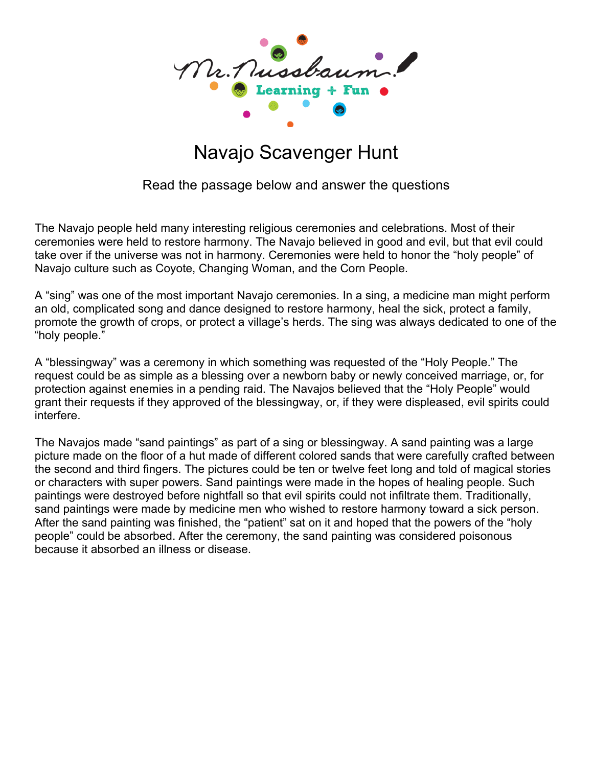

## Navajo Scavenger Hunt

Read the passage below and answer the questions

The Navajo people held many interesting religious ceremonies and celebrations. Most of their ceremonies were held to restore harmony. The Navajo believed in good and evil, but that evil could take over if the universe was not in harmony. Ceremonies were held to honor the "holy people" of Navajo culture such as Coyote, Changing Woman, and the Corn People.

A "sing" was one of the most important Navajo ceremonies. In a sing, a medicine man might perform an old, complicated song and dance designed to restore harmony, heal the sick, protect a family, promote the growth of crops, or protect a village's herds. The sing was always dedicated to one of the "holy people."

A "blessingway" was a ceremony in which something was requested of the "Holy People." The request could be as simple as a blessing over a newborn baby or newly conceived marriage, or, for protection against enemies in a pending raid. The Navajos believed that the "Holy People" would grant their requests if they approved of the blessingway, or, if they were displeased, evil spirits could interfere.

The Navajos made "sand paintings" as part of a sing or blessingway. A sand painting was a large picture made on the floor of a hut made of different colored sands that were carefully crafted between the second and third fingers. The pictures could be ten or twelve feet long and told of magical stories or characters with super powers. Sand paintings were made in the hopes of healing people. Such paintings were destroyed before nightfall so that evil spirits could not infiltrate them. Traditionally, sand paintings were made by medicine men who wished to restore harmony toward a sick person. After the sand painting was finished, the "patient" sat on it and hoped that the powers of the "holy people" could be absorbed. After the ceremony, the sand painting was considered poisonous because it absorbed an illness or disease.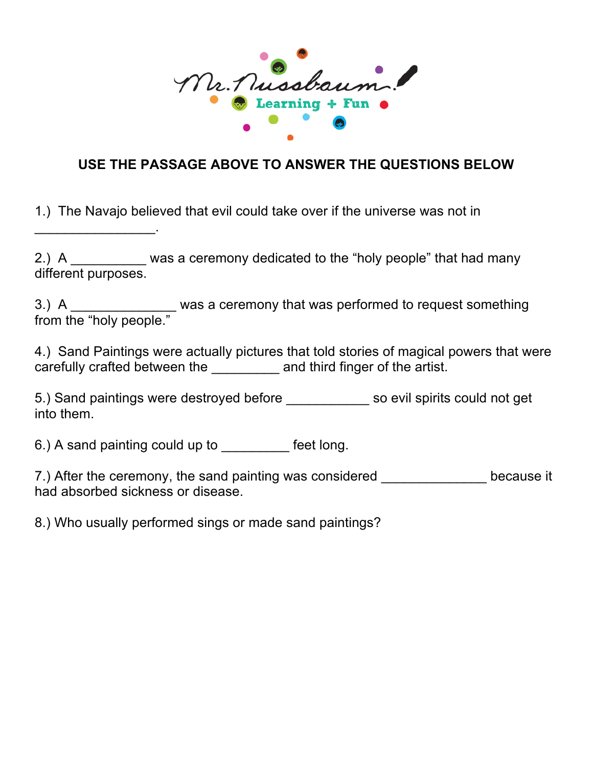

## **USE THE PASSAGE ABOVE TO ANSWER THE QUESTIONS BELOW**

1.) The Navajo believed that evil could take over if the universe was not in

2.) A \_\_\_\_\_\_\_\_\_ was a ceremony dedicated to the "holy people" that had many different purposes.

3.) A \_\_\_\_\_\_\_\_\_\_\_\_\_\_\_ was a ceremony that was performed to request something from the "holy people."

4.) Sand Paintings were actually pictures that told stories of magical powers that were carefully crafted between the and third finger of the artist.

5.) Sand paintings were destroyed before \_\_\_\_\_\_\_\_\_\_\_ so evil spirits could not get into them.

6.) A sand painting could up to \_\_\_\_\_\_\_\_\_ feet long.

 $\overline{\phantom{a}}$  . The set of the set of the set of the set of the set of the set of the set of the set of the set of the set of the set of the set of the set of the set of the set of the set of the set of the set of the set o

7.) After the ceremony, the sand painting was considered \_\_\_\_\_\_\_\_\_\_\_\_\_\_\_\_ because it had absorbed sickness or disease.

8.) Who usually performed sings or made sand paintings?